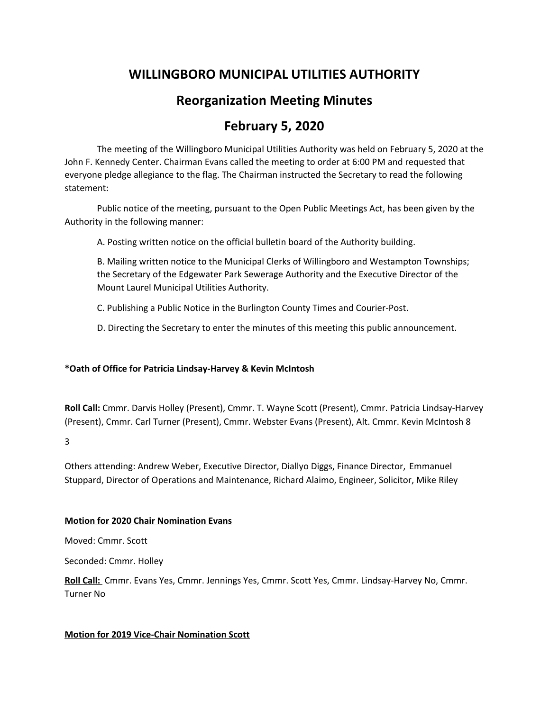# **WILLINGBORO MUNICIPAL UTILITIES AUTHORITY**

# **Reorganization Meeting Minutes**

# **February 5, 2020**

The meeting of the Willingboro Municipal Utilities Authority was held on February 5, 2020 at the John F. Kennedy Center. Chairman Evans called the meeting to order at 6:00 PM and requested that everyone pledge allegiance to the flag. The Chairman instructed the Secretary to read the following statement:

Public notice of the meeting, pursuant to the Open Public Meetings Act, has been given by the Authority in the following manner:

A. Posting written notice on the official bulletin board of the Authority building.

B. Mailing written notice to the Municipal Clerks of Willingboro and Westampton Townships; the Secretary of the Edgewater Park Sewerage Authority and the Executive Director of the Mount Laurel Municipal Utilities Authority.

C. Publishing a Public Notice in the Burlington County Times and Courier-Post.

D. Directing the Secretary to enter the minutes of this meeting this public announcement.

#### **\*Oath of Office for Patricia Lindsay-Harvey & Kevin McIntosh**

**Roll Call:** Cmmr. Darvis Holley (Present), Cmmr. T. Wayne Scott (Present), Cmmr. Patricia Lindsay-Harvey (Present), Cmmr. Carl Turner (Present), Cmmr. Webster Evans (Present), Alt. Cmmr. Kevin McIntosh 8

3

Others attending: Andrew Weber, Executive Director, Diallyo Diggs, Finance Director, Emmanuel Stuppard, Director of Operations and Maintenance, Richard Alaimo, Engineer, Solicitor, Mike Riley

#### **Motion for 2020 Chair Nomination Evans**

Moved: Cmmr. Scott

Seconded: Cmmr. Holley

**Roll Call:** Cmmr. Evans Yes, Cmmr. Jennings Yes, Cmmr. Scott Yes, Cmmr. Lindsay-Harvey No, Cmmr. Turner No

### **Motion for 2019 Vice-Chair Nomination Scott**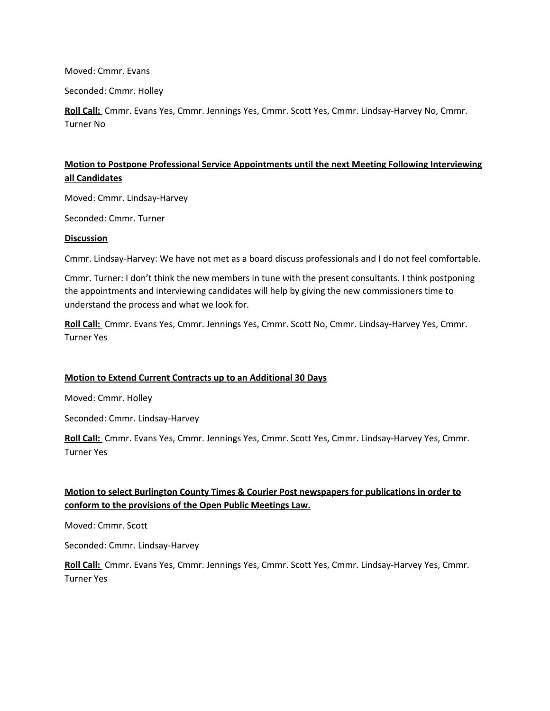Moved: Cmmr. Evans

Seconded: Cmmr. Holley

**Roll Call:** Cmmr. Evans Yes, Cmmr. Jennings Yes, Cmmr. Scott Yes, Cmmr. Lindsay-Harvey No, Cmmr. Turner No

## **Motion to Postpone Professional Service Appointments until the next Meeting Following Interviewing all Candidates**

Moved: Cmmr. Lindsay-Harvey

Seconded: Cmmr. Turner

#### **Discussion**

Cmmr. Lindsay-Harvey: We have not met as a board discuss professionals and I do not feel comfortable.

Cmmr. Turner: I don't think the new members in tune with the present consultants. I think postponing the appointments and interviewing candidates will help by giving the new commissioners time to understand the process and what we look for.

**Roll Call:** Cmmr. Evans Yes, Cmmr. Jennings Yes, Cmmr. Scott No, Cmmr. Lindsay-Harvey Yes, Cmmr. Turner Yes

#### **Motion to Extend Current Contracts up to an Additional 30 Days**

Moved: Cmmr. Holley

Seconded: Cmmr. Lindsay-Harvey

**Roll Call:** Cmmr. Evans Yes, Cmmr. Jennings Yes, Cmmr. Scott Yes, Cmmr. Lindsay-Harvey Yes, Cmmr. Turner Yes

### **Motion to select Burlington County Times & Courier Post newspapers for publications in order to conform to the provisions of the Open Public Meetings Law.**

Moved: Cmmr. Scott

Seconded: Cmmr. Lindsay-Harvey

**Roll Call:** Cmmr. Evans Yes, Cmmr. Jennings Yes, Cmmr. Scott Yes, Cmmr. Lindsay-Harvey Yes, Cmmr. Turner Yes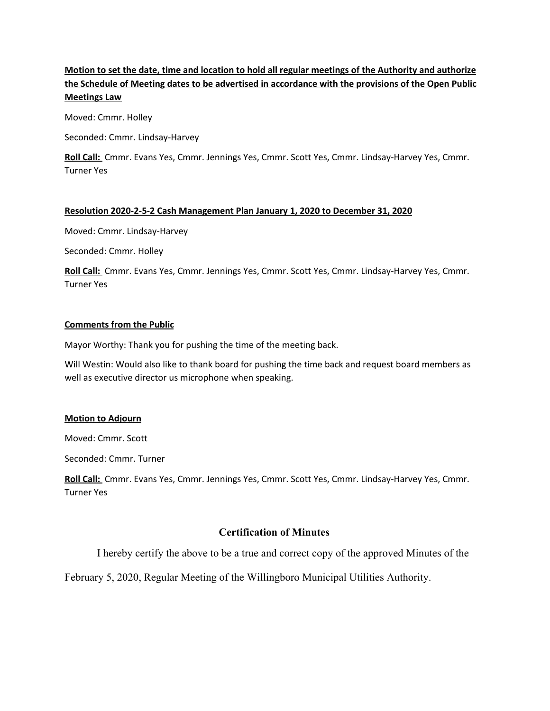# Motion to set the date, time and location to hold all regular meetings of the Authority and authorize **the Schedule of Meeting dates to be advertised in accordance with the provisions of the Open Public Meetings Law**

Moved: Cmmr. Holley

Seconded: Cmmr. Lindsay-Harvey

**Roll Call:** Cmmr. Evans Yes, Cmmr. Jennings Yes, Cmmr. Scott Yes, Cmmr. Lindsay-Harvey Yes, Cmmr. Turner Yes

#### **Resolution 2020-2-5-2 Cash Management Plan January 1, 2020 to December 31, 2020**

Moved: Cmmr. Lindsay-Harvey

Seconded: Cmmr. Holley

**Roll Call:** Cmmr. Evans Yes, Cmmr. Jennings Yes, Cmmr. Scott Yes, Cmmr. Lindsay-Harvey Yes, Cmmr. Turner Yes

#### **Comments from the Public**

Mayor Worthy: Thank you for pushing the time of the meeting back.

Will Westin: Would also like to thank board for pushing the time back and request board members as well as executive director us microphone when speaking.

#### **Motion to Adjourn**

Moved: Cmmr. Scott

Seconded: Cmmr. Turner

**Roll Call:** Cmmr. Evans Yes, Cmmr. Jennings Yes, Cmmr. Scott Yes, Cmmr. Lindsay-Harvey Yes, Cmmr. Turner Yes

### **Certification of Minutes**

I hereby certify the above to be a true and correct copy of the approved Minutes of the

February 5, 2020, Regular Meeting of the Willingboro Municipal Utilities Authority.